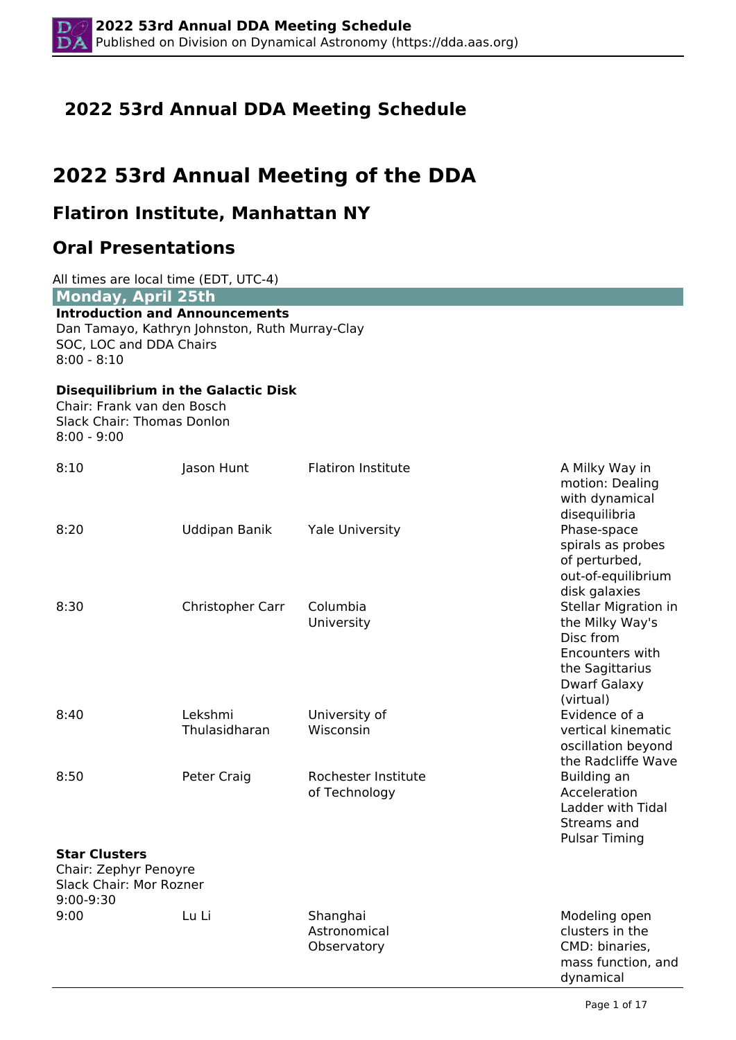# **2022 53rd Annual DDA Meeting Schedule**

# **2022 53rd Annual Meeting of the DDA**

# **Flatiron Institute, Manhattan NY**

# **Oral Presentations**

| All times are local time (EDT, UTC-4)<br><b>Monday, April 25th</b>                    |                                                |                                         |                                                                                                                         |
|---------------------------------------------------------------------------------------|------------------------------------------------|-----------------------------------------|-------------------------------------------------------------------------------------------------------------------------|
| <b>Introduction and Announcements</b><br>SOC, LOC and DDA Chairs<br>$8:00 - 8:10$     | Dan Tamayo, Kathryn Johnston, Ruth Murray-Clay |                                         |                                                                                                                         |
| Chair: Frank van den Bosch<br><b>Slack Chair: Thomas Donlon</b><br>$8:00 - 9:00$      | <b>Disequilibrium in the Galactic Disk</b>     |                                         |                                                                                                                         |
| 8:10                                                                                  | Jason Hunt                                     | <b>Flatiron Institute</b>               | A Milky Way in<br>motion: Dealing<br>with dynamical<br>disequilibria                                                    |
| 8:20                                                                                  | Uddipan Banik                                  | <b>Yale University</b>                  | Phase-space<br>spirals as probes<br>of perturbed,<br>out-of-equilibrium<br>disk galaxies                                |
| 8:30                                                                                  | Christopher Carr                               | Columbia<br>University                  | Stellar Migration in<br>the Milky Way's<br>Disc from<br>Encounters with<br>the Sagittarius<br>Dwarf Galaxy<br>(virtual) |
| 8:40                                                                                  | Lekshmi<br>Thulasidharan                       | University of<br>Wisconsin              | Evidence of a<br>vertical kinematic<br>oscillation beyond<br>the Radcliffe Wave                                         |
| 8:50                                                                                  | Peter Craig                                    | Rochester Institute<br>of Technology    | Building an<br>Acceleration<br>Ladder with Tidal<br>Streams and<br><b>Pulsar Timing</b>                                 |
| <b>Star Clusters</b><br>Chair: Zephyr Penoyre<br>Slack Chair: Mor Rozner<br>9:00-9:30 |                                                |                                         |                                                                                                                         |
| 9:00                                                                                  | Lu Li                                          | Shanghai<br>Astronomical<br>Observatory | Modeling open<br>clusters in the<br>CMD: binaries,<br>mass function, and<br>dynamical                                   |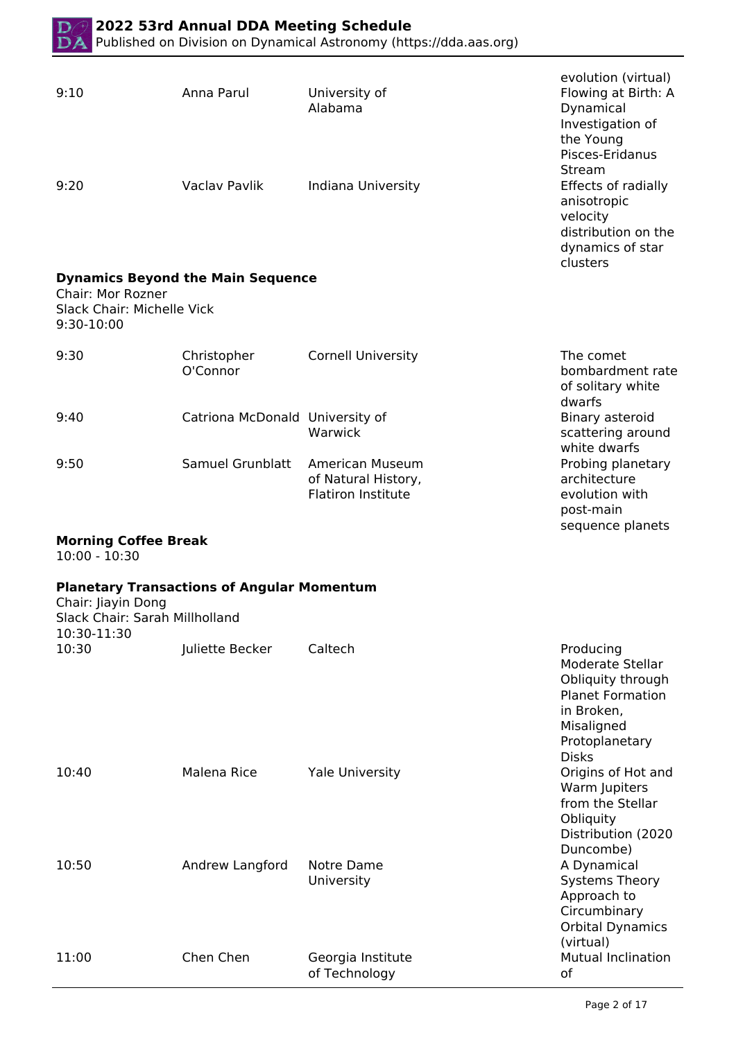

| 9:10                                                          | Anna Parul                                        | University of<br>Alabama                                            | evolution (virtual)<br>Flowing at Birth: A<br>Dynamical<br>Investigation of<br>the Young<br>Pisces-Eridanus                    |
|---------------------------------------------------------------|---------------------------------------------------|---------------------------------------------------------------------|--------------------------------------------------------------------------------------------------------------------------------|
| 9:20                                                          | Vaclav Pavlik                                     | Indiana University                                                  | Stream<br>Effects of radially<br>anisotropic<br>velocity<br>distribution on the<br>dynamics of star<br>clusters                |
|                                                               | <b>Dynamics Beyond the Main Sequence</b>          |                                                                     |                                                                                                                                |
| Chair: Mor Rozner<br>Slack Chair: Michelle Vick<br>9:30-10:00 |                                                   |                                                                     |                                                                                                                                |
| 9:30                                                          | Christopher<br>O'Connor                           | <b>Cornell University</b>                                           | The comet<br>bombardment rate<br>of solitary white<br>dwarfs                                                                   |
| 9:40                                                          | Catriona McDonald University of                   | Warwick                                                             | Binary asteroid<br>scattering around<br>white dwarfs                                                                           |
| 9:50                                                          | Samuel Grunblatt                                  | American Museum<br>of Natural History,<br><b>Flatiron Institute</b> | Probing planetary<br>architecture<br>evolution with<br>post-main<br>sequence planets                                           |
| <b>Morning Coffee Break</b><br>$10:00 - 10:30$                |                                                   |                                                                     |                                                                                                                                |
| Chair: Jiayin Dong<br>Slack Chair: Sarah Millholland          | <b>Planetary Transactions of Angular Momentum</b> |                                                                     |                                                                                                                                |
| 10:30-11:30<br>10:30                                          | Juliette Becker                                   | Caltech                                                             | Producing                                                                                                                      |
|                                                               |                                                   |                                                                     | Moderate Stellar<br>Obliquity through<br><b>Planet Formation</b><br>in Broken,<br>Misaligned<br>Protoplanetary<br><b>Disks</b> |
| 10:40                                                         | Malena Rice                                       | <b>Yale University</b>                                              | Origins of Hot and<br>Warm Jupiters<br>from the Stellar<br>Obliquity<br>Distribution (2020<br>Duncombe)                        |
| 10:50                                                         | Andrew Langford                                   | Notre Dame<br>University                                            | A Dynamical<br><b>Systems Theory</b><br>Approach to<br>Circumbinary<br><b>Orbital Dynamics</b><br>(virtual)                    |
| 11:00                                                         | Chen Chen                                         |                                                                     | <b>Mutual Inclination</b>                                                                                                      |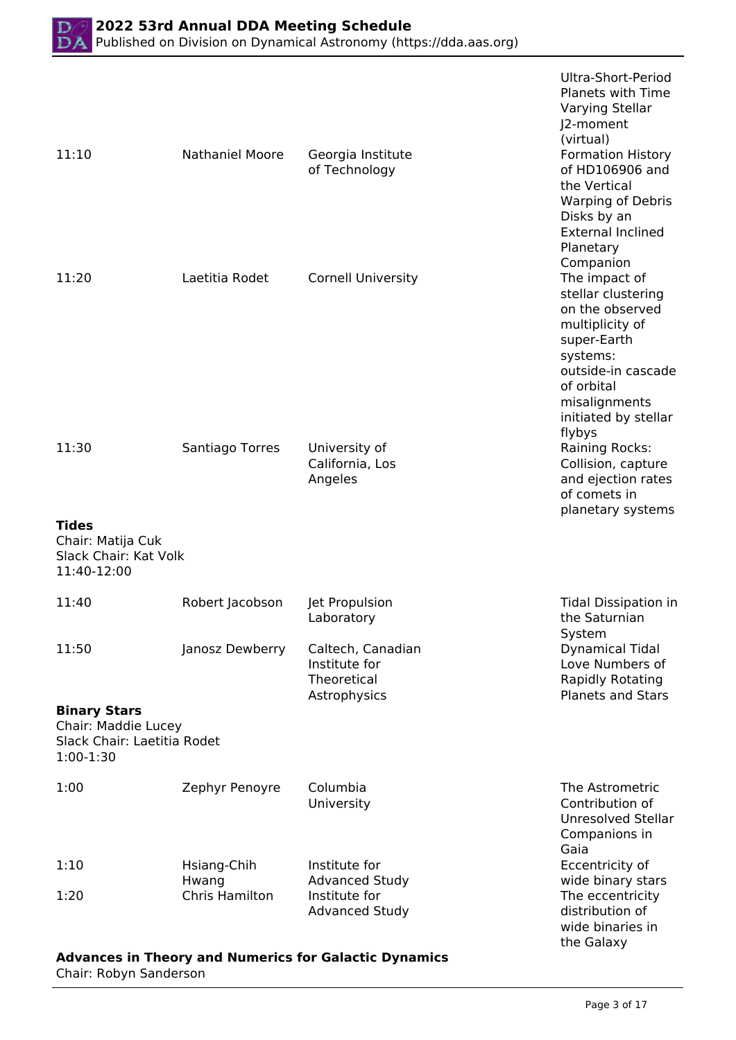|                                                                                          |                         |                                                                   | Ultra-Short-Period<br><b>Planets with Time</b><br>Varying Stellar<br>J2-moment<br>(virtual)                                                                                                 |
|------------------------------------------------------------------------------------------|-------------------------|-------------------------------------------------------------------|---------------------------------------------------------------------------------------------------------------------------------------------------------------------------------------------|
| 11:10                                                                                    | <b>Nathaniel Moore</b>  | Georgia Institute<br>of Technology                                | <b>Formation History</b><br>of HD106906 and<br>the Vertical<br><b>Warping of Debris</b><br>Disks by an<br><b>External Inclined</b><br>Planetary<br>Companion                                |
| 11:20                                                                                    | Laetitia Rodet          | <b>Cornell University</b>                                         | The impact of<br>stellar clustering<br>on the observed<br>multiplicity of<br>super-Earth<br>systems:<br>outside-in cascade<br>of orbital<br>misalignments<br>initiated by stellar<br>flybys |
| 11:30                                                                                    | Santiago Torres         | University of<br>California, Los<br>Angeles                       | Raining Rocks:<br>Collision, capture<br>and ejection rates<br>of comets in<br>planetary systems                                                                                             |
| <b>Tides</b><br>Chair: Matija Cuk<br>Slack Chair: Kat Volk<br>11:40-12:00                |                         |                                                                   |                                                                                                                                                                                             |
| 11:40                                                                                    | Robert Jacobson         | Jet Propulsion<br>Laboratory                                      | <b>Tidal Dissipation in</b><br>the Saturnian<br>System                                                                                                                                      |
| 11:50                                                                                    | Janosz Dewberry         | Caltech, Canadian<br>Institute for<br>Theoretical<br>Astrophysics | <b>Dynamical Tidal</b><br>Love Numbers of<br><b>Rapidly Rotating</b><br><b>Planets and Stars</b>                                                                                            |
| <b>Binary Stars</b><br>Chair: Maddie Lucey<br>Slack Chair: Laetitia Rodet<br>$1:00-1:30$ |                         |                                                                   |                                                                                                                                                                                             |
| 1:00                                                                                     | Zephyr Penoyre          | Columbia<br>University                                            | The Astrometric<br>Contribution of<br><b>Unresolved Stellar</b><br>Companions in<br>Gaia                                                                                                    |
| 1:10                                                                                     | Hsiang-Chih             | Institute for                                                     | Eccentricity of                                                                                                                                                                             |
| 1:20                                                                                     | Hwang<br>Chris Hamilton | <b>Advanced Study</b><br>Institute for<br><b>Advanced Study</b>   | wide binary stars<br>The eccentricity<br>distribution of<br>wide binaries in<br>the Galaxy                                                                                                  |

### **Advances in Theory and Numerics for Galactic Dynamics** Chair: Robyn Sanderson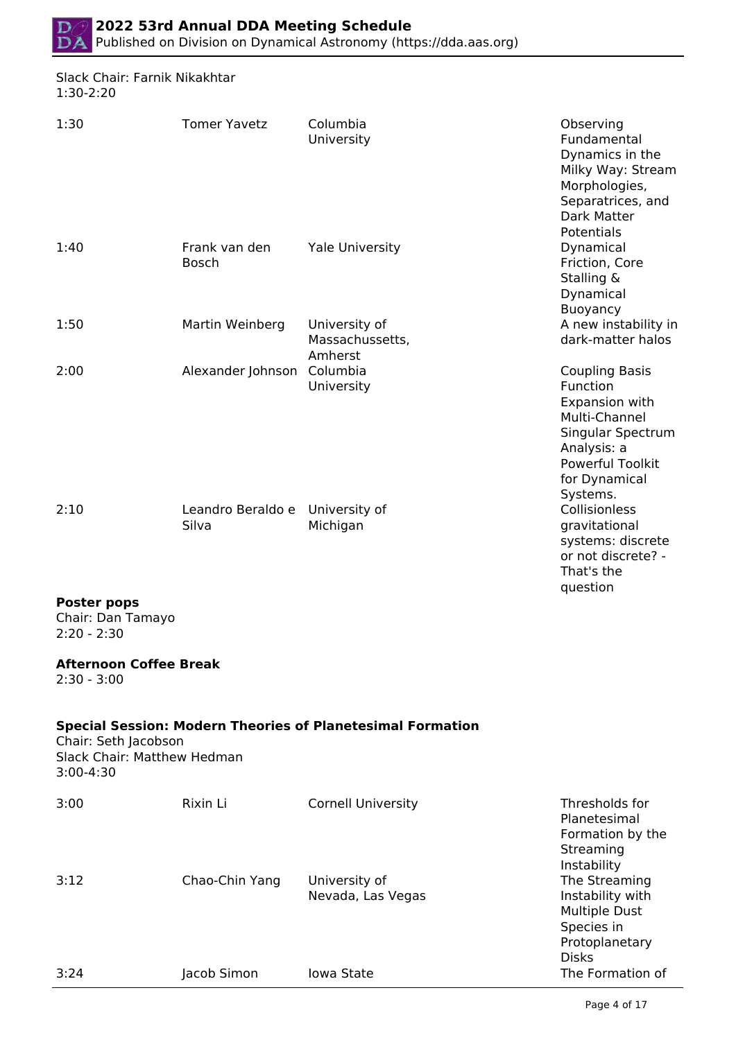

#### Slack Chair: Farnik Nikakhtar 1:30-2:20

| 1:30                                                             | <b>Tomer Yavetz</b>           | Columbia<br>University                                            | Observing<br>Fundamental<br>Dynamics in the<br>Milky Way: Stream<br>Morphologies,<br>Separatrices, and<br>Dark Matter                                            |
|------------------------------------------------------------------|-------------------------------|-------------------------------------------------------------------|------------------------------------------------------------------------------------------------------------------------------------------------------------------|
| 1:40                                                             | Frank van den<br><b>Bosch</b> | <b>Yale University</b>                                            | Potentials<br>Dynamical<br>Friction, Core<br>Stalling &<br>Dynamical<br><b>Buoyancy</b>                                                                          |
| 1:50                                                             | Martin Weinberg               | University of<br>Massachussetts,<br>Amherst                       | A new instability in<br>dark-matter halos                                                                                                                        |
| 2:00                                                             | Alexander Johnson             | Columbia<br>University                                            | <b>Coupling Basis</b><br>Function<br>Expansion with<br>Multi-Channel<br>Singular Spectrum<br>Analysis: a<br><b>Powerful Toolkit</b><br>for Dynamical<br>Systems. |
| 2:10                                                             | Leandro Beraldo e<br>Silva    | University of<br>Michigan                                         | Collisionless<br>gravitational<br>systems: discrete<br>or not discrete? -<br>That's the<br>question                                                              |
| <b>Poster pops</b><br>Chair: Dan Tamayo<br>$2:20 - 2:30$         |                               |                                                                   |                                                                                                                                                                  |
| <b>Afternoon Coffee Break</b><br>$2:30 - 3:00$                   |                               |                                                                   |                                                                                                                                                                  |
| Chair: Seth Jacobson<br>Slack Chair: Matthew Hedman<br>3:00-4:30 |                               | <b>Special Session: Modern Theories of Planetesimal Formation</b> |                                                                                                                                                                  |
| 3:00                                                             | Rixin Li                      | <b>Cornell University</b>                                         | Thresholds for<br>Planetesimal<br>Formation by the<br>Streaming                                                                                                  |
| 3:12                                                             | Chao-Chin Yang                | University of<br>Nevada, Las Vegas                                | Instability<br>The Streaming<br>Instability with<br><b>Multiple Dust</b><br>Species in<br>Protoplanetary<br><b>Disks</b>                                         |
| 3:24                                                             | Jacob Simon                   | Iowa State                                                        | The Formation of                                                                                                                                                 |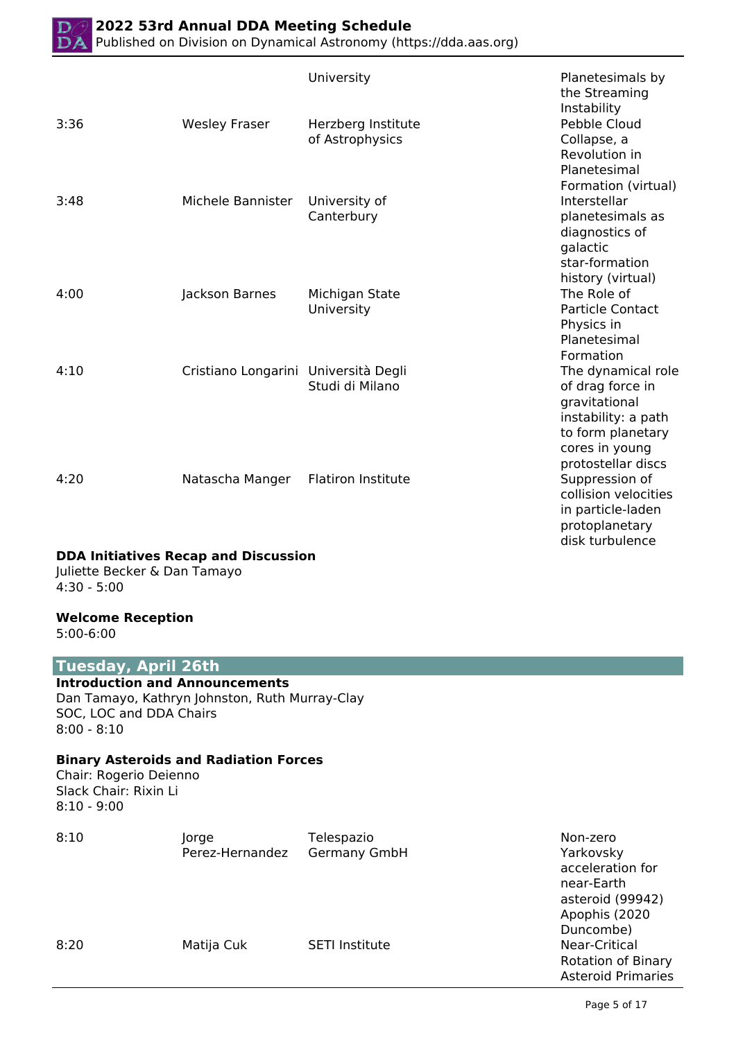|      |                                      | University                            | Planetesimals by<br>the Streaming<br>Instability                                                                                            |
|------|--------------------------------------|---------------------------------------|---------------------------------------------------------------------------------------------------------------------------------------------|
| 3:36 | <b>Wesley Fraser</b>                 | Herzberg Institute<br>of Astrophysics | Pebble Cloud<br>Collapse, a<br>Revolution in<br>Planetesimal<br>Formation (virtual)                                                         |
| 3:48 | Michele Bannister                    | University of<br>Canterbury           | Interstellar<br>planetesimals as<br>diagnostics of<br>galactic<br>star-formation<br>history (virtual)                                       |
| 4:00 | Jackson Barnes                       | Michigan State<br>University          | The Role of<br><b>Particle Contact</b><br>Physics in<br>Planetesimal<br>Formation                                                           |
| 4:10 | Cristiano Longarini Università Degli | Studi di Milano                       | The dynamical role<br>of drag force in<br>gravitational<br>instability: a path<br>to form planetary<br>cores in young<br>protostellar discs |
| 4:20 | Natascha Manger                      | <b>Flatiron Institute</b>             | Suppression of<br>collision velocities<br>in particle-laden<br>protoplanetary<br>disk turbulence                                            |

#### **DDA Initiatives Recap and Discussion**

Juliette Becker & Dan Tamayo 4:30 - 5:00

#### **Welcome Reception**

5:00-6:00

#### **Tuesday, April 26th**

**Introduction and Announcements** Dan Tamayo, Kathryn Johnston, Ruth Murray-Clay SOC, LOC and DDA Chairs 8:00 - 8:10

#### **Binary Asteroids and Radiation Forces**

Chair: Rogerio Deienno Slack Chair: Rixin Li 8:10 - 9:00

| 8:10 | Jorge<br>Perez-Hernandez | Telespazio<br>Germany GmbH | Non-zero<br>Yarkovsky     |
|------|--------------------------|----------------------------|---------------------------|
|      |                          |                            | acceleration for          |
|      |                          |                            | near-Earth                |
|      |                          |                            | asteroid (99942)          |
|      |                          |                            | Apophis (2020             |
|      |                          |                            | Duncombe)                 |
| 8:20 | Matija Cuk               | <b>SETI Institute</b>      | Near-Critical             |
|      |                          |                            | <b>Rotation of Binary</b> |
|      |                          |                            | <b>Asteroid Primaries</b> |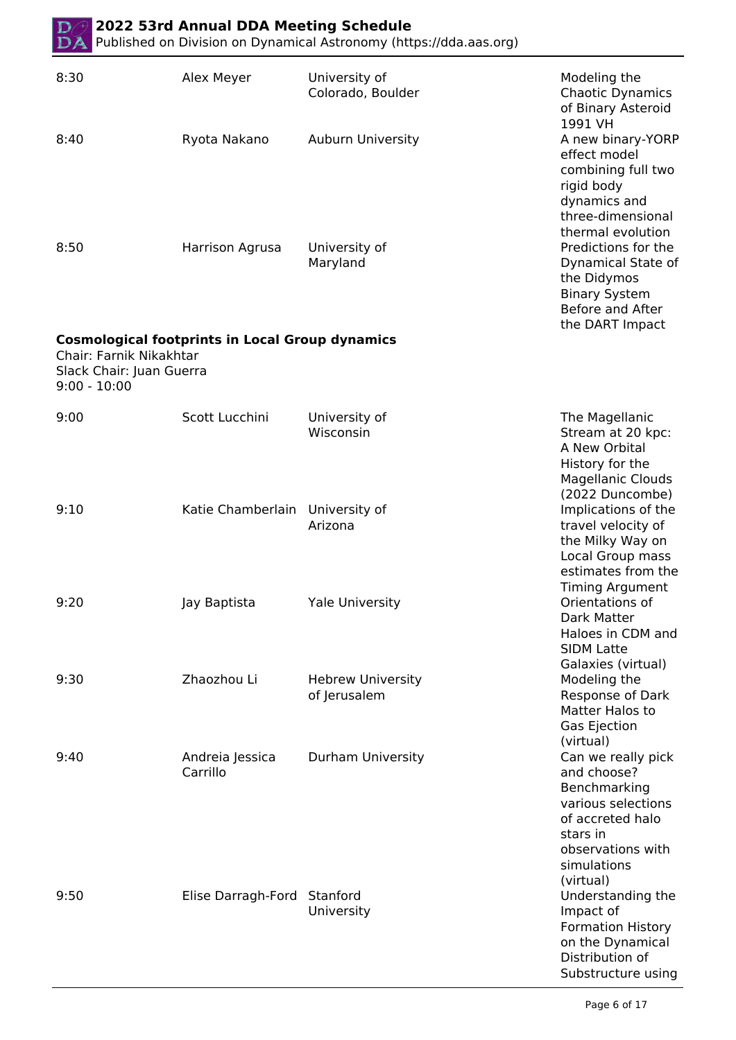| DA                                                                    | 2022 53rd Annual DDA Meeting Schedule                  | Published on Division on Dynamical Astronomy (https://dda.aas.org) |                                                                                                                                                                       |
|-----------------------------------------------------------------------|--------------------------------------------------------|--------------------------------------------------------------------|-----------------------------------------------------------------------------------------------------------------------------------------------------------------------|
| 8:30                                                                  | Alex Meyer                                             | University of<br>Colorado, Boulder                                 | Modeling the<br><b>Chaotic Dynamics</b><br>of Binary Asteroid<br>1991 VH                                                                                              |
| 8:40                                                                  | Ryota Nakano                                           | Auburn University                                                  | A new binary-YORP<br>effect model<br>combining full two<br>rigid body<br>dynamics and<br>three-dimensional<br>thermal evolution                                       |
| 8:50                                                                  | Harrison Agrusa                                        | University of<br>Maryland                                          | Predictions for the<br>Dynamical State of<br>the Didymos<br><b>Binary System</b><br>Before and After<br>the DART Impact                                               |
| Chair: Farnik Nikakhtar<br>Slack Chair: Juan Guerra<br>$9:00 - 10:00$ | <b>Cosmological footprints in Local Group dynamics</b> |                                                                    |                                                                                                                                                                       |
| 9:00                                                                  | Scott Lucchini                                         | University of<br>Wisconsin                                         | The Magellanic<br>Stream at 20 kpc:<br>A New Orbital<br>History for the<br><b>Magellanic Clouds</b><br>(2022 Duncombe)                                                |
| 9:10                                                                  | Katie Chamberlain                                      | University of<br>Arizona                                           | Implications of the<br>travel velocity of<br>the Milky Way on<br>Local Group mass<br>estimates from the<br><b>Timing Argument</b>                                     |
| 9:20                                                                  | Jay Baptista                                           | <b>Yale University</b>                                             | Orientations of<br>Dark Matter<br>Haloes in CDM and<br><b>SIDM Latte</b><br>Galaxies (virtual)                                                                        |
| 9:30                                                                  | Zhaozhou Li                                            | <b>Hebrew University</b><br>of Jerusalem                           | Modeling the<br>Response of Dark<br>Matter Halos to<br>Gas Ejection                                                                                                   |
| 9:40                                                                  | Andreia Jessica<br>Carrillo                            | Durham University                                                  | (virtual)<br>Can we really pick<br>and choose?<br>Benchmarking<br>various selections<br>of accreted halo<br>stars in<br>observations with<br>simulations<br>(virtual) |
| 9:50                                                                  | Elise Darragh-Ford                                     | Stanford<br>University                                             | Understanding the<br>Impact of<br><b>Formation History</b><br>on the Dynamical<br>Distribution of<br>Substructure using                                               |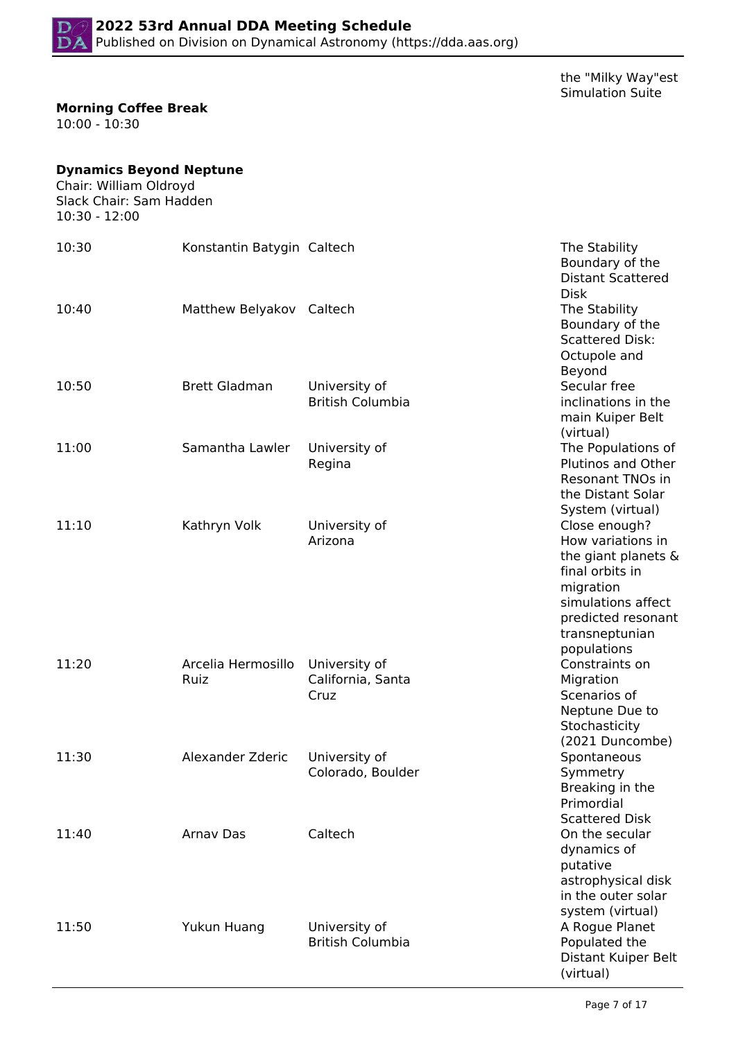

the "Milky Way"est Simulation Suite

#### **Morning Coffee Break**

10:00 - 10:30

# **Dynamics Beyond Neptune**

Chair: William Oldroyd Slack Chair: Sam Hadden 10:30 - 12:00

| 10:30 | Konstantin Batygin Caltech |                                            | The Stability<br>Boundary of the<br><b>Distant Scattered</b><br><b>Disk</b>                                                                                            |
|-------|----------------------------|--------------------------------------------|------------------------------------------------------------------------------------------------------------------------------------------------------------------------|
| 10:40 | Matthew Belyakov Caltech   |                                            | The Stability<br>Boundary of the<br><b>Scattered Disk:</b><br>Octupole and<br>Beyond                                                                                   |
| 10:50 | <b>Brett Gladman</b>       | University of<br><b>British Columbia</b>   | Secular free<br>inclinations in the<br>main Kuiper Belt<br>(virtual)                                                                                                   |
| 11:00 | Samantha Lawler            | University of<br>Regina                    | The Populations of<br>Plutinos and Other<br><b>Resonant TNOs in</b><br>the Distant Solar<br>System (virtual)                                                           |
| 11:10 | Kathryn Volk               | University of<br>Arizona                   | Close enough?<br>How variations in<br>the giant planets &<br>final orbits in<br>migration<br>simulations affect<br>predicted resonant<br>transneptunian<br>populations |
| 11:20 | Arcelia Hermosillo<br>Ruiz | University of<br>California, Santa<br>Cruz | Constraints on<br>Migration<br>Scenarios of<br>Neptune Due to<br>Stochasticity<br>(2021 Duncombe)                                                                      |
| 11:30 | Alexander Zderic           | University of<br>Colorado, Boulder         | Spontaneous<br>Symmetry<br>Breaking in the<br>Primordial                                                                                                               |
| 11:40 | Arnav Das                  | Caltech                                    | <b>Scattered Disk</b><br>On the secular<br>dynamics of<br>putative<br>astrophysical disk<br>in the outer solar                                                         |
| 11:50 | Yukun Huang                | University of<br><b>British Columbia</b>   | system (virtual)<br>A Rogue Planet<br>Populated the<br>Distant Kuiper Belt<br>(virtual)                                                                                |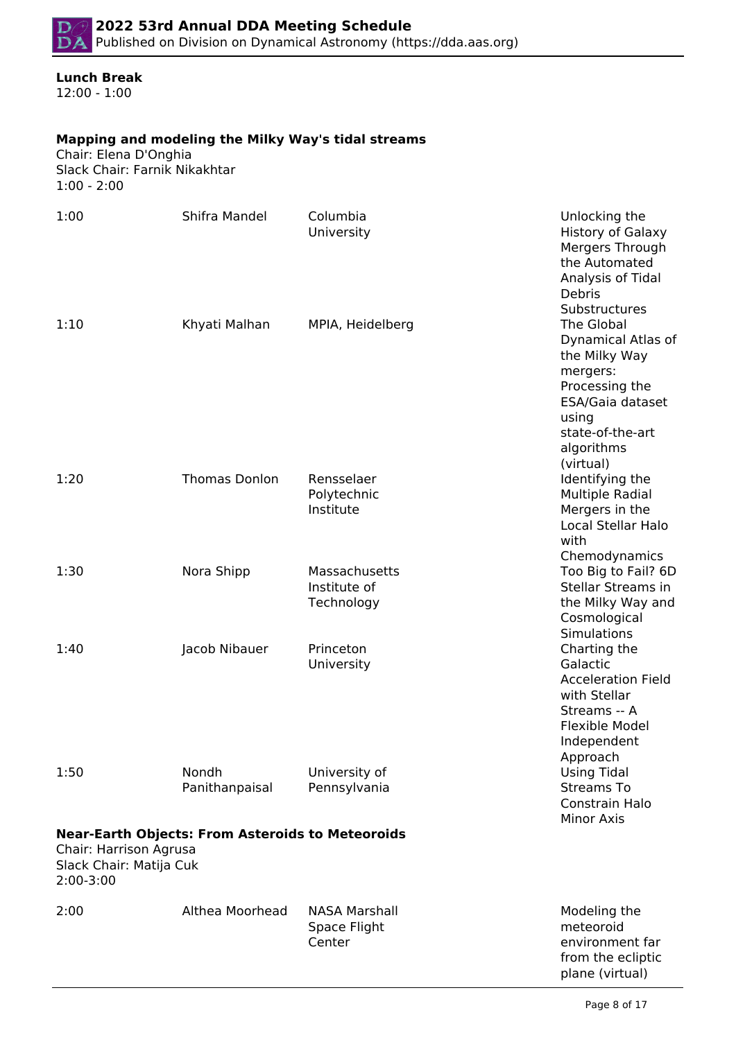# **Lunch Break**

12:00 - 1:00

## **Mapping and modeling the Milky Way's tidal streams**

Chair: Elena D'Onghia Slack Chair: Farnik Nikakhtar 1:00 - 2:00

| 1:00                                                           | Shifra Mandel                                           | Columbia<br>University                         | Unlocking the<br><b>History of Galaxy</b><br>Mergers Through<br>the Automated<br>Analysis of Tidal<br>Debris<br>Substructures                  |
|----------------------------------------------------------------|---------------------------------------------------------|------------------------------------------------|------------------------------------------------------------------------------------------------------------------------------------------------|
| 1:10                                                           | Khyati Malhan                                           | MPIA, Heidelberg                               | The Global<br>Dynamical Atlas of<br>the Milky Way<br>mergers:<br>Processing the<br>ESA/Gaia dataset<br>using<br>state-of-the-art<br>algorithms |
| 1:20                                                           | <b>Thomas Donlon</b>                                    | Rensselaer<br>Polytechnic<br>Institute         | (virtual)<br>Identifying the<br><b>Multiple Radial</b><br>Mergers in the<br>Local Stellar Halo<br>with<br>Chemodynamics                        |
| 1:30                                                           | Nora Shipp                                              | Massachusetts<br>Institute of<br>Technology    | Too Big to Fail? 6D<br><b>Stellar Streams in</b><br>the Milky Way and<br>Cosmological<br>Simulations                                           |
| 1:40                                                           | Jacob Nibauer                                           | Princeton<br>University                        | Charting the<br>Galactic<br><b>Acceleration Field</b><br>with Stellar<br>Streams -- A<br>Flexible Model<br>Independent<br>Approach             |
| 1:50                                                           | Nondh<br>Panithanpaisal                                 | University of<br>Pennsylvania                  | <b>Using Tidal</b><br><b>Streams To</b><br>Constrain Halo<br><b>Minor Axis</b>                                                                 |
| Chair: Harrison Agrusa<br>Slack Chair: Matija Cuk<br>2:00-3:00 | <b>Near-Earth Objects: From Asteroids to Meteoroids</b> |                                                |                                                                                                                                                |
| 2:00                                                           | Althea Moorhead                                         | <b>NASA Marshall</b><br>Space Flight<br>Center | Modeling the<br>meteoroid<br>environment far<br>from the ecliptic<br>plane (virtual)                                                           |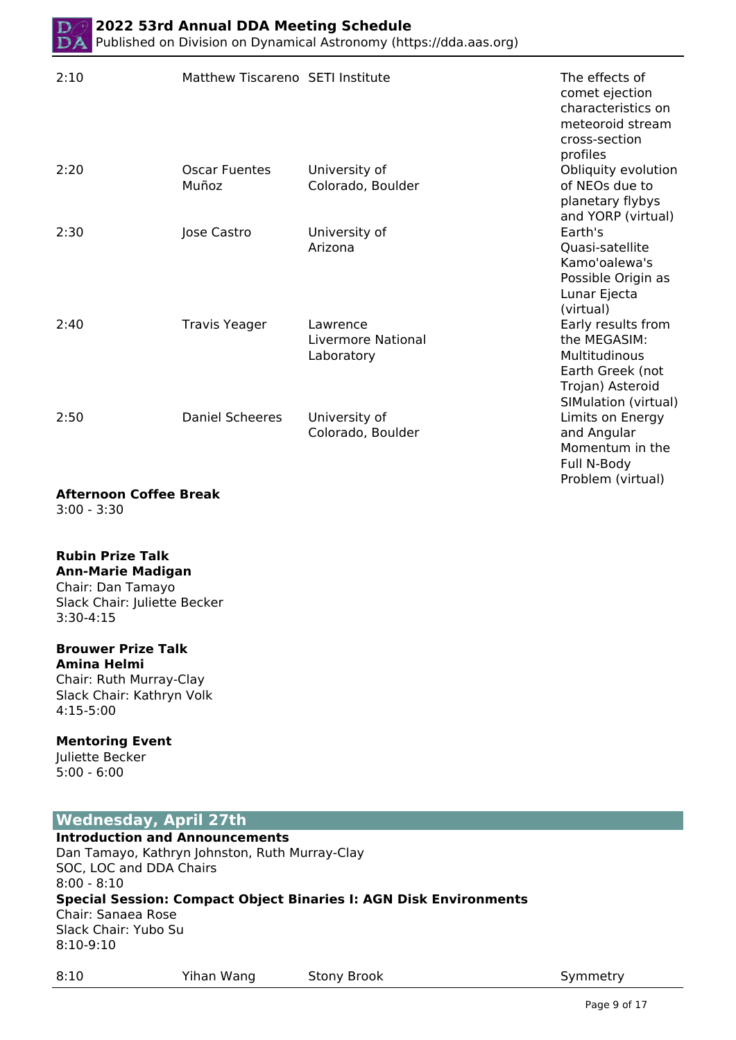| 2:10 | Matthew Tiscareno SETI Institute |                                              | The effects of<br>comet ejection<br>characteristics on<br>meteoroid stream<br>cross-section<br>profiles             |
|------|----------------------------------|----------------------------------------------|---------------------------------------------------------------------------------------------------------------------|
| 2:20 | <b>Oscar Fuentes</b><br>Muñoz    | University of<br>Colorado, Boulder           | Obliquity evolution<br>of NEOs due to<br>planetary flybys<br>and YORP (virtual)                                     |
| 2:30 | Jose Castro                      | University of<br>Arizona                     | Earth's<br>Quasi-satellite<br>Kamo'oalewa's<br>Possible Origin as<br>Lunar Ejecta<br>(virtual)                      |
| 2:40 | <b>Travis Yeager</b>             | Lawrence<br>Livermore National<br>Laboratory | Early results from<br>the MEGASIM:<br>Multitudinous<br>Earth Greek (not<br>Trojan) Asteroid<br>SIMulation (virtual) |
| 2:50 | <b>Daniel Scheeres</b>           | University of<br>Colorado, Boulder           | Limits on Energy<br>and Angular<br>Momentum in the<br>Full N-Body                                                   |

#### **Afternoon Coffee Break**

3:00 - 3:30

#### **Rubin Prize Talk**

#### **Ann-Marie Madigan**

Chair: Dan Tamayo Slack Chair: Juliette Becker 3:30-4:15

# **Brouwer Prize Talk**

**Amina Helmi** Chair: Ruth Murray-Clay Slack Chair: Kathryn Volk 4:15-5:00

#### **Mentoring Event**

Juliette Becker 5:00 - 6:00

# **Wednesday, April 27th**

# **Introduction and Announcements**

Dan Tamayo, Kathryn Johnston, Ruth Murray-Clay SOC, LOC and DDA Chairs 8:00 - 8:10 **Special Session: Compact Object Binaries I: AGN Disk Environments** Chair: Sanaea Rose Slack Chair: Yubo Su 8:10-9:10

8:10 Yihan Wang Stony Brook Symmetry

Problem (virtual)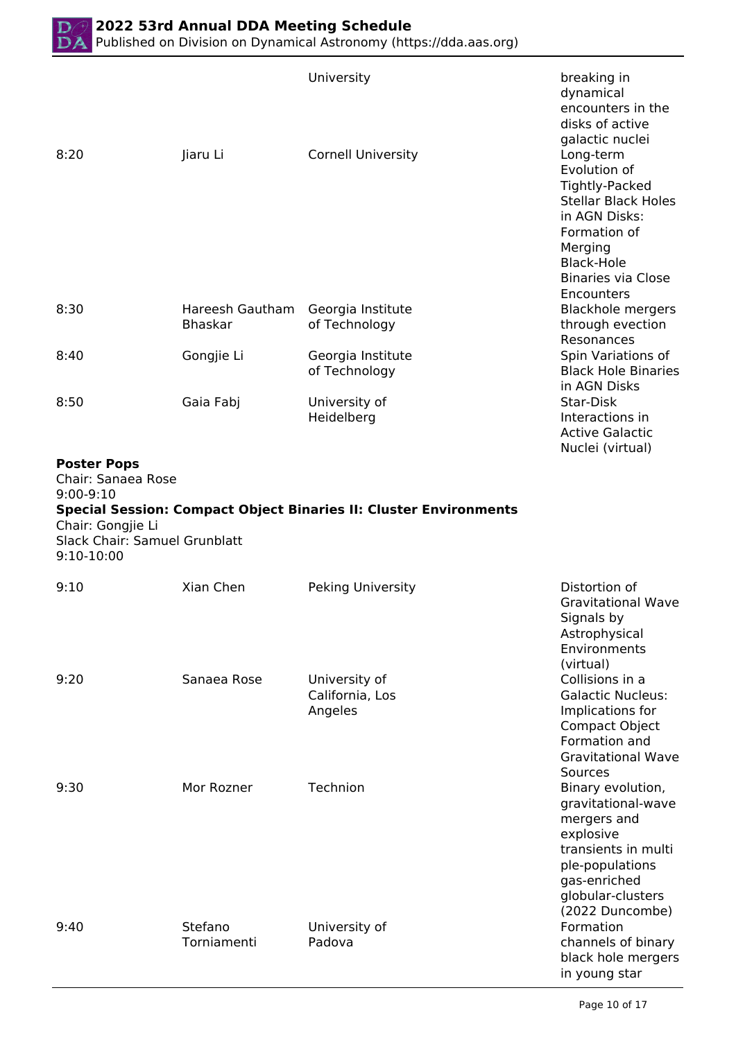|                                                                                                                             |                                   | University                                                               | breaking in<br>dynamical<br>encounters in the<br>disks of active                                                                                                                                  |
|-----------------------------------------------------------------------------------------------------------------------------|-----------------------------------|--------------------------------------------------------------------------|---------------------------------------------------------------------------------------------------------------------------------------------------------------------------------------------------|
| 8:20                                                                                                                        | Jiaru Li                          | <b>Cornell University</b>                                                | galactic nuclei<br>Long-term<br>Evolution of<br>Tightly-Packed<br><b>Stellar Black Holes</b><br>in AGN Disks:<br>Formation of<br>Merging<br>Black-Hole<br><b>Binaries via Close</b><br>Encounters |
| 8:30                                                                                                                        | Hareesh Gautham<br><b>Bhaskar</b> | Georgia Institute<br>of Technology                                       | <b>Blackhole mergers</b><br>through evection<br>Resonances                                                                                                                                        |
| 8:40                                                                                                                        | Gongjie Li                        | Georgia Institute<br>of Technology                                       | Spin Variations of<br><b>Black Hole Binaries</b><br>in AGN Disks                                                                                                                                  |
| 8:50                                                                                                                        | Gaia Fabj                         | University of<br>Heidelberg                                              | Star-Disk<br>Interactions in<br><b>Active Galactic</b><br>Nuclei (virtual)                                                                                                                        |
| <b>Poster Pops</b><br>Chair: Sanaea Rose<br>$9:00-9:10$<br>Chair: Gongjie Li<br>Slack Chair: Samuel Grunblatt<br>9:10-10:00 |                                   | <b>Special Session: Compact Object Binaries II: Cluster Environments</b> |                                                                                                                                                                                                   |
| 9:10                                                                                                                        | Xian Chen                         | Peking University                                                        | Distortion of<br><b>Gravitational Wave</b><br>Signals by<br>Astrophysical<br>Environments<br>(virtual)                                                                                            |
| 9:20                                                                                                                        | Sanaea Rose                       | University of<br>California, Los<br>Angeles                              | Collisions in a<br><b>Galactic Nucleus:</b><br>Implications for<br><b>Compact Object</b><br>Formation and<br><b>Gravitational Wave</b><br>Sources                                                 |
| 9:30                                                                                                                        | Mor Rozner                        | Technion                                                                 | Binary evolution,<br>gravitational-wave<br>mergers and<br>explosive<br>transients in multi<br>ple-populations<br>gas-enriched<br>globular-clusters                                                |
| 9:40                                                                                                                        | Stefano                           | University of                                                            | (2022 Duncombe)<br>Formation                                                                                                                                                                      |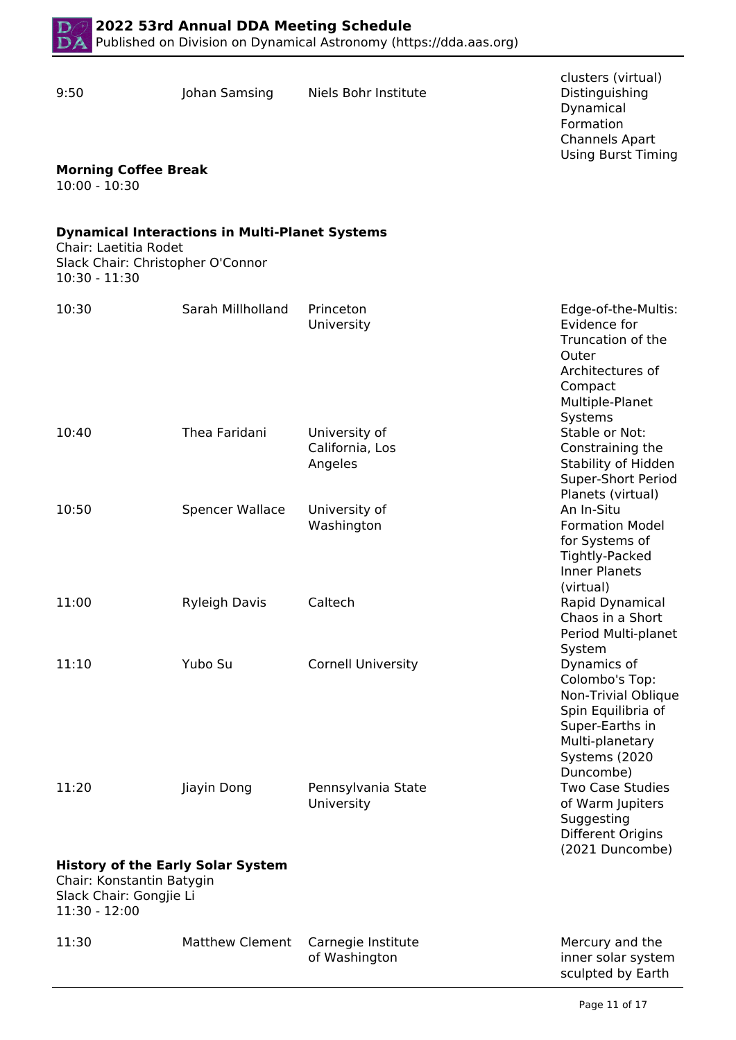

| 9:50                                                                                                              | Johan Samsing                                         | Niels Bohr Institute                        | clusters (virtual)<br>Distinguishing<br>Dynamical<br>Formation<br><b>Channels Apart</b><br><b>Using Burst Timing</b>                           |
|-------------------------------------------------------------------------------------------------------------------|-------------------------------------------------------|---------------------------------------------|------------------------------------------------------------------------------------------------------------------------------------------------|
| <b>Morning Coffee Break</b><br>$10:00 - 10:30$                                                                    |                                                       |                                             |                                                                                                                                                |
| Chair: Laetitia Rodet<br>Slack Chair: Christopher O'Connor<br>$10:30 - 11:30$                                     | <b>Dynamical Interactions in Multi-Planet Systems</b> |                                             |                                                                                                                                                |
| 10:30                                                                                                             | Sarah Millholland                                     | Princeton<br>University                     | Edge-of-the-Multis:<br>Evidence for<br>Truncation of the<br>Outer<br>Architectures of<br>Compact<br>Multiple-Planet<br>Systems                 |
| 10:40                                                                                                             | Thea Faridani                                         | University of<br>California, Los<br>Angeles | Stable or Not:<br>Constraining the<br>Stability of Hidden<br>Super-Short Period<br>Planets (virtual)                                           |
| 10:50                                                                                                             | Spencer Wallace                                       | University of<br>Washington                 | An In-Situ<br><b>Formation Model</b><br>for Systems of<br>Tightly-Packed<br><b>Inner Planets</b><br>(virtual)                                  |
| 11:00                                                                                                             | <b>Ryleigh Davis</b>                                  | Caltech                                     | Rapid Dynamical<br>Chaos in a Short<br>Period Multi-planet<br>System                                                                           |
| 11:10                                                                                                             | Yubo Su                                               | <b>Cornell University</b>                   | Dynamics of<br>Colombo's Top:<br>Non-Trivial Oblique<br>Spin Equilibria of<br>Super-Earths in<br>Multi-planetary<br>Systems (2020<br>Duncombe) |
| 11:20                                                                                                             | Jiayin Dong                                           | Pennsylvania State<br>University            | <b>Two Case Studies</b><br>of Warm Jupiters<br>Suggesting<br>Different Origins<br>(2021 Duncombe)                                              |
| <b>History of the Early Solar System</b><br>Chair: Konstantin Batygin<br>Slack Chair: Gongjie Li<br>11:30 - 12:00 |                                                       |                                             |                                                                                                                                                |
| 11:30                                                                                                             | <b>Matthew Clement</b>                                | Carnegie Institute<br>of Washington         | Mercury and the<br>inner solar system<br>sculpted by Earth                                                                                     |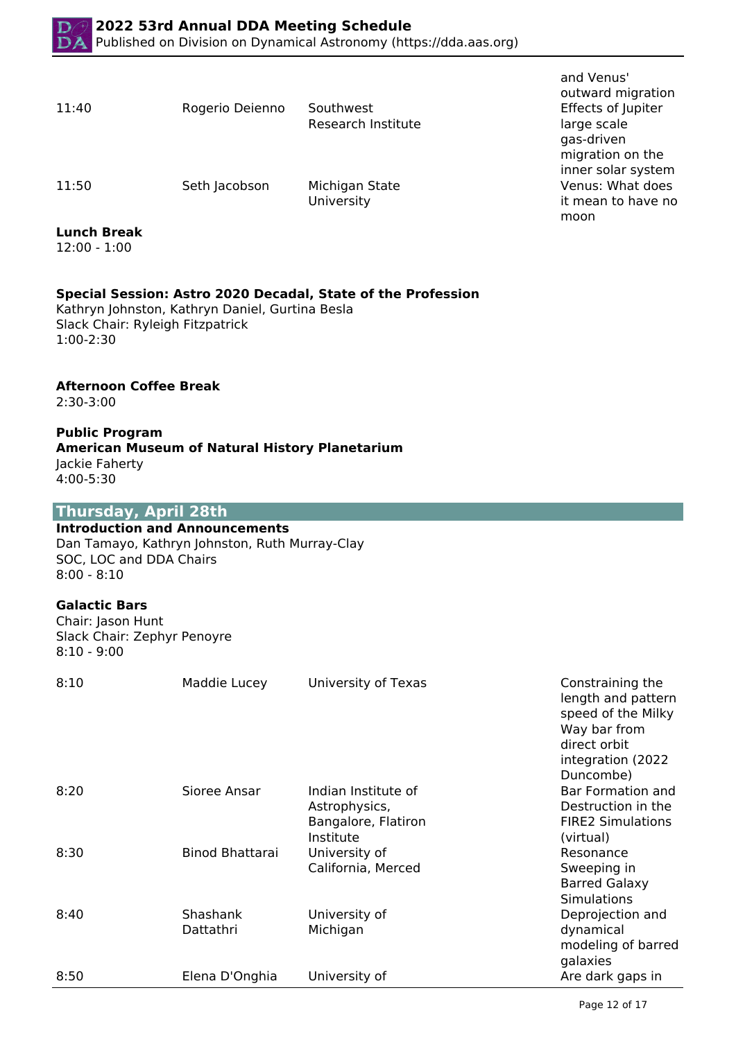| 11:40 | Rogerio Dei |
|-------|-------------|
|       |             |

enno Southwest Research Institute

11:50 Seth Jacobson Michigan State

University

### **Lunch Break**

12:00 - 1:00

# **Special Session: Astro 2020 Decadal, State of the Profession**

Kathryn Johnston, Kathryn Daniel, Gurtina Besla Slack Chair: Ryleigh Fitzpatrick 1:00-2:30

### **Afternoon Coffee Break**

2:30-3:00

#### **Public Program**

#### **American Museum of Natural History Planetarium** Jackie Faherty 4:00-5:30

# **Thursday, April 28th**

#### **Introduction and Announcements**

Dan Tamayo, Kathryn Johnston, Ruth Murray-Clay SOC, LOC and DDA Chairs 8:00 - 8:10

#### **Galactic Bars**

Chair: Jason Hunt Slack Chair: Zephyr Penoyre 8:10 - 9:00

| 8:10 | Maddie Lucey          | University of Texas                                                      | Constraining the<br>length and pattern<br>speed of the Milky<br>Way bar from<br>direct orbit<br>integration (2022<br>Duncombe) |
|------|-----------------------|--------------------------------------------------------------------------|--------------------------------------------------------------------------------------------------------------------------------|
| 8:20 | Sioree Ansar          | Indian Institute of<br>Astrophysics,<br>Bangalore, Flatiron<br>Institute | Bar Formation and<br>Destruction in the<br><b>FIRE2 Simulations</b><br>(virtual)                                               |
| 8:30 | Binod Bhattarai       | University of<br>California, Merced                                      | Resonance<br>Sweeping in<br><b>Barred Galaxy</b><br><b>Simulations</b>                                                         |
| 8:40 | Shashank<br>Dattathri | University of<br>Michigan                                                | Deprojection and<br>dynamical<br>modeling of barred<br>galaxies                                                                |
| 8:50 | Elena D'Onghia        | University of                                                            | Are dark gaps in                                                                                                               |

and Venus' outward migration Effects of Jupiter large scale gas-driven migration on the inner solar system Venus: What does it mean to have no moon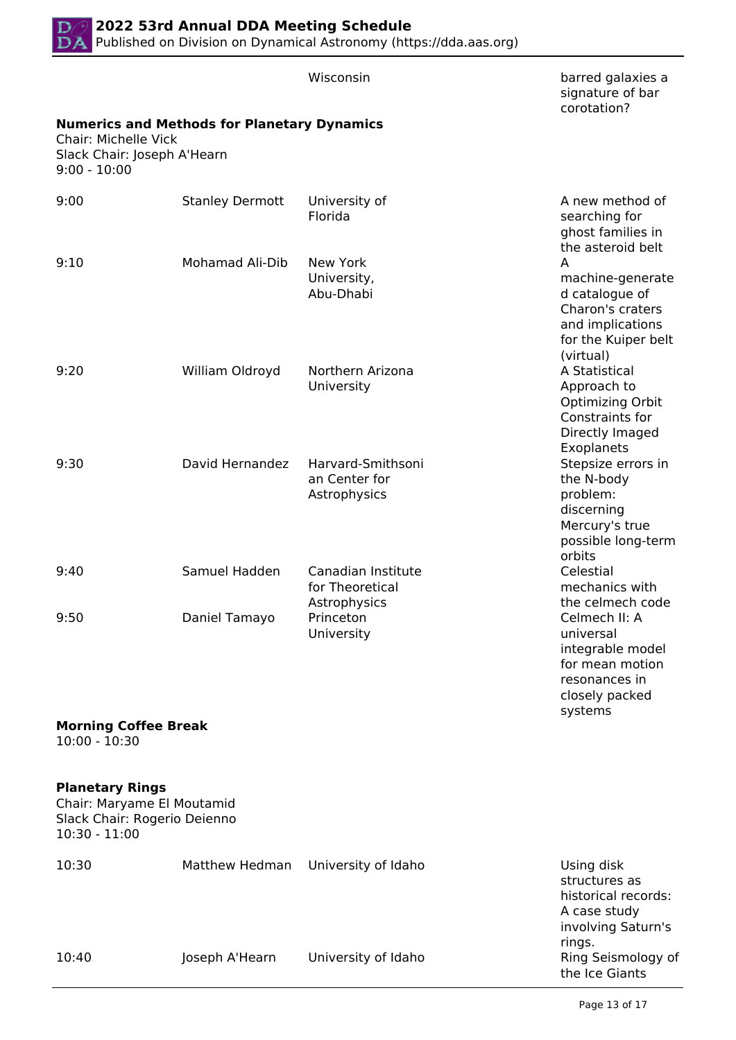

|                                                                                                         |                                                    | Wisconsin                                             | barred galaxies a<br>signature of bar<br>corotation?                                                                                     |
|---------------------------------------------------------------------------------------------------------|----------------------------------------------------|-------------------------------------------------------|------------------------------------------------------------------------------------------------------------------------------------------|
| Chair: Michelle Vick<br>Slack Chair: Joseph A'Hearn<br>$9:00 - 10:00$                                   | <b>Numerics and Methods for Planetary Dynamics</b> |                                                       |                                                                                                                                          |
| 9:00                                                                                                    | <b>Stanley Dermott</b>                             | University of<br>Florida                              | A new method of<br>searching for<br>ghost families in                                                                                    |
| 9:10                                                                                                    | <b>Mohamad Ali-Dib</b>                             | New York<br>University,<br>Abu-Dhabi                  | the asteroid belt<br>A<br>machine-generate<br>d catalogue of<br>Charon's craters<br>and implications<br>for the Kuiper belt<br>(virtual) |
| 9:20                                                                                                    | William Oldroyd                                    | Northern Arizona<br>University                        | A Statistical<br>Approach to<br>Optimizing Orbit<br>Constraints for<br>Directly Imaged<br>Exoplanets                                     |
| 9:30                                                                                                    | David Hernandez                                    | Harvard-Smithsoni<br>an Center for<br>Astrophysics    | Stepsize errors in<br>the N-body<br>problem:<br>discerning<br>Mercury's true<br>possible long-term<br>orbits                             |
| 9:40                                                                                                    | Samuel Hadden                                      | Canadian Institute<br>for Theoretical<br>Astrophysics | Celestial<br>mechanics with<br>the celmech code                                                                                          |
| 9:50                                                                                                    | Daniel Tamayo                                      | Princeton<br>University                               | Celmech II: A<br>universal<br>integrable model<br>for mean motion<br>resonances in<br>closely packed<br>systems                          |
| <b>Morning Coffee Break</b><br>$10:00 - 10:30$                                                          |                                                    |                                                       |                                                                                                                                          |
| <b>Planetary Rings</b><br>Chair: Maryame El Moutamid<br>Slack Chair: Rogerio Deienno<br>$10:30 - 11:00$ |                                                    |                                                       |                                                                                                                                          |
| 10:30                                                                                                   | Matthew Hedman                                     | University of Idaho                                   | Using disk<br>structures as<br>historical records:<br>A case study<br>involving Saturn's                                                 |
| 10:40                                                                                                   | Joseph A'Hearn                                     | University of Idaho                                   | rings.<br>Ring Seismology of<br>the Ice Giants                                                                                           |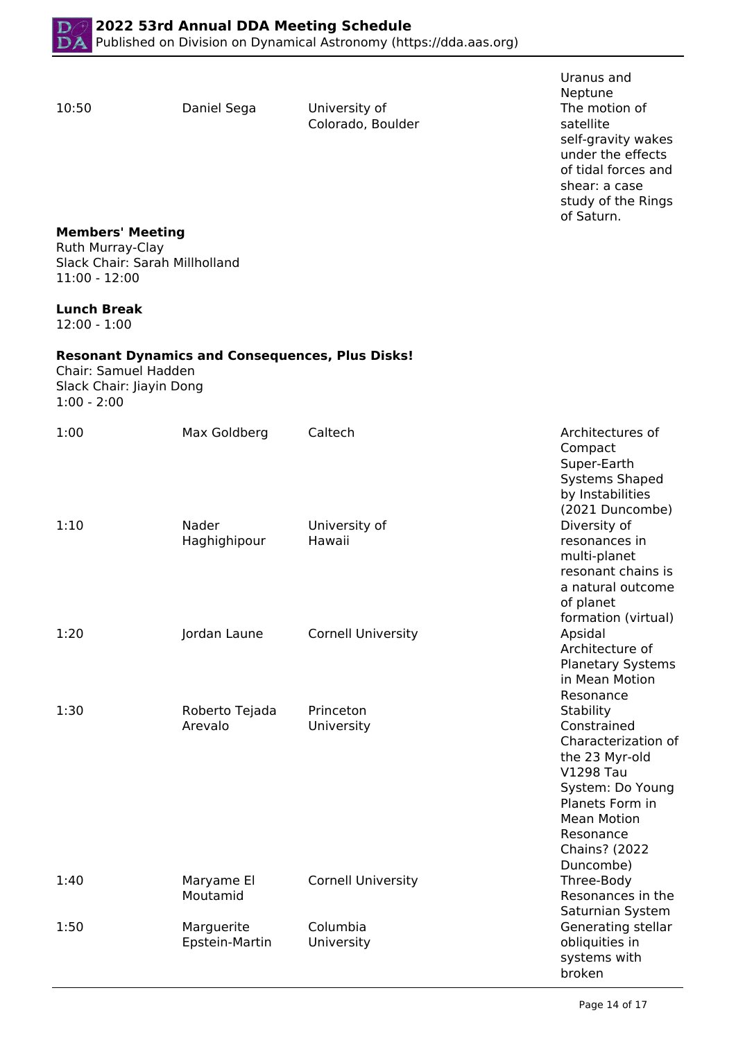10:50 Daniel Sega University of Colorado, Boulder Uranus and Neptune The motion of satellite self-gravity wakes under the effects of tidal forces and shear: a case study of the Rings of Saturn.

# **Members' Meeting**

Ruth Murray-Clay Slack Chair: Sarah Millholland 11:00 - 12:00

#### **Lunch Break**

12:00 - 1:00

#### **Resonant Dynamics and Consequences, Plus Disks!**

Chair: Samuel Hadden Slack Chair: Jiayin Dong 1:00 - 2:00

| 1:00 | Max Goldberg                 | Caltech                   | Architectures of<br>Compact<br>Super-Earth<br><b>Systems Shaped</b><br>by Instabilities<br>(2021 Duncombe)                                                                                    |
|------|------------------------------|---------------------------|-----------------------------------------------------------------------------------------------------------------------------------------------------------------------------------------------|
| 1:10 | Nader<br>Haghighipour        | University of<br>Hawaii   | Diversity of<br>resonances in<br>multi-planet<br>resonant chains is<br>a natural outcome<br>of planet<br>formation (virtual)                                                                  |
| 1:20 | Jordan Laune                 | <b>Cornell University</b> | Apsidal<br>Architecture of<br><b>Planetary Systems</b><br>in Mean Motion<br>Resonance                                                                                                         |
| 1:30 | Roberto Tejada<br>Arevalo    | Princeton<br>University   | Stability<br>Constrained<br>Characterization of<br>the 23 Myr-old<br>V1298 Tau<br>System: Do Young<br>Planets Form in<br><b>Mean Motion</b><br>Resonance<br><b>Chains?</b> (2022<br>Duncombe) |
| 1:40 | Maryame El<br>Moutamid       | <b>Cornell University</b> | Three-Body<br>Resonances in the<br>Saturnian System                                                                                                                                           |
| 1:50 | Marguerite<br>Epstein-Martin | Columbia<br>University    | Generating stellar<br>obliquities in<br>systems with<br>broken                                                                                                                                |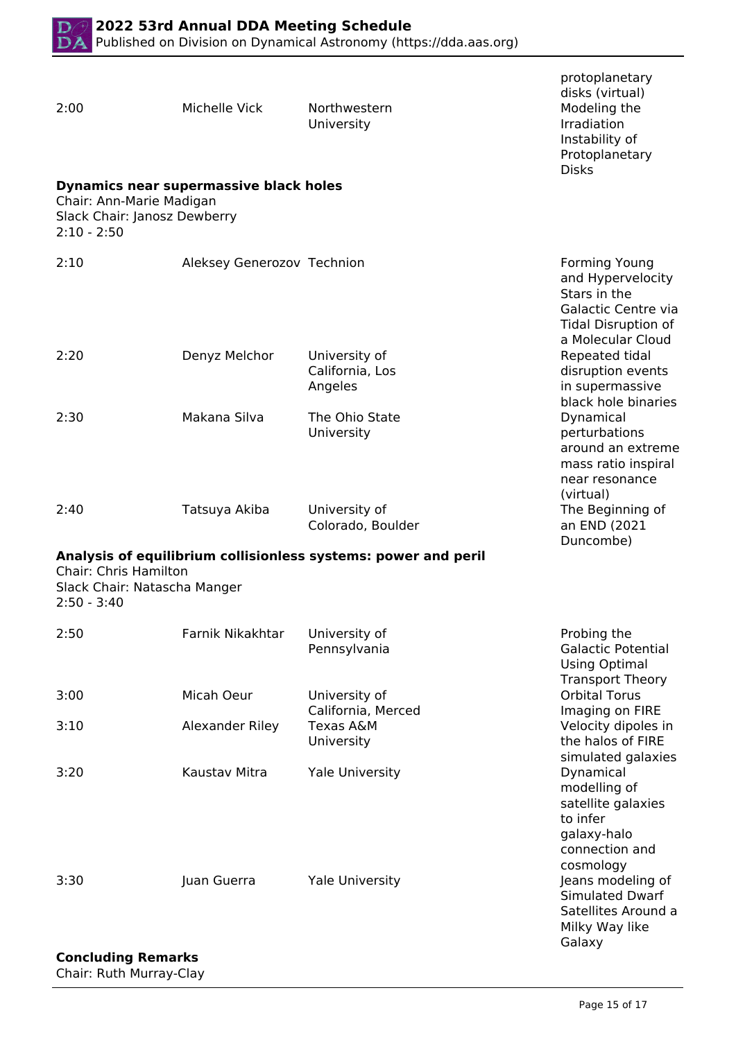

| 2:00                                                                          | Michelle Vick                          | Northwestern<br>University                                     | protoplanetary<br>disks (virtual)<br>Modeling the<br>Irradiation<br>Instability of<br>Protoplanetary<br><b>Disks</b>                |
|-------------------------------------------------------------------------------|----------------------------------------|----------------------------------------------------------------|-------------------------------------------------------------------------------------------------------------------------------------|
| Chair: Ann-Marie Madigan<br>Slack Chair: Janosz Dewberry<br>$2:10 - 2:50$     | Dynamics near supermassive black holes |                                                                |                                                                                                                                     |
| 2:10                                                                          | Aleksey Generozov Technion             |                                                                | <b>Forming Young</b><br>and Hypervelocity<br>Stars in the<br>Galactic Centre via<br><b>Tidal Disruption of</b><br>a Molecular Cloud |
| 2:20                                                                          | Denyz Melchor                          | University of<br>California, Los<br>Angeles                    | Repeated tidal<br>disruption events<br>in supermassive<br>black hole binaries                                                       |
| 2:30                                                                          | Makana Silva                           | The Ohio State<br>University                                   | Dynamical<br>perturbations<br>around an extreme<br>mass ratio inspiral<br>near resonance<br>(virtual)                               |
| 2:40                                                                          | Tatsuya Akiba                          | University of<br>Colorado, Boulder                             | The Beginning of<br>an END (2021<br>Duncombe)                                                                                       |
| <b>Chair: Chris Hamilton</b><br>Slack Chair: Natascha Manger<br>$2:50 - 3:40$ |                                        | Analysis of equilibrium collisionless systems: power and peril |                                                                                                                                     |
| 2:50                                                                          | Farnik Nikakhtar                       | University of<br>Pennsylvania                                  | Probing the<br><b>Galactic Potential</b><br>Using Optimal<br><b>Transport Theory</b>                                                |
| 3:00                                                                          | Micah Oeur                             | University of<br>California, Merced                            | <b>Orbital Torus</b><br>Imaging on FIRE                                                                                             |
| 3:10                                                                          | Alexander Riley                        | Texas A&M<br>University                                        | Velocity dipoles in<br>the halos of FIRE<br>simulated galaxies                                                                      |
| 3:20                                                                          | Kaustav Mitra                          | <b>Yale University</b>                                         | Dynamical<br>modelling of<br>satellite galaxies<br>to infer<br>galaxy-halo<br>connection and<br>cosmology                           |
| 3:30                                                                          | Juan Guerra                            | <b>Yale University</b>                                         | Jeans modeling of<br>Simulated Dwarf<br>Satellites Around a<br>Milky Way like<br>Galaxy                                             |

# **Concluding Remarks**

Chair: Ruth Murray-Clay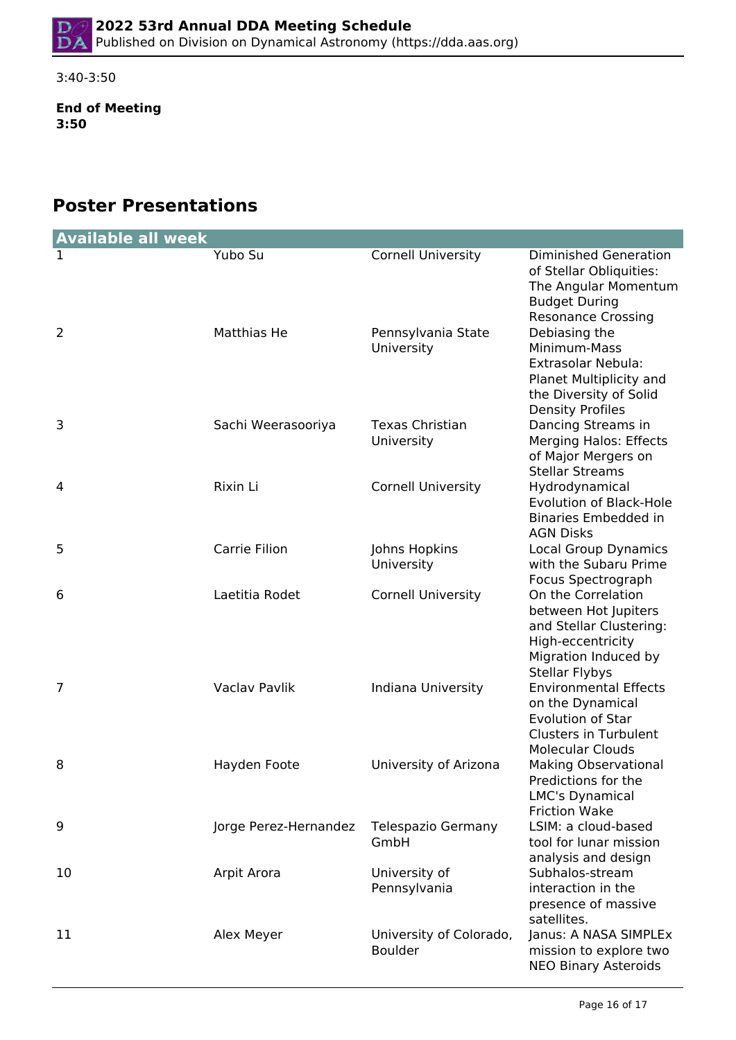3:40-3:50

**End of Meeting 3:50**

# **Poster Presentations**

| <b>Available all week</b> |                       |                                           |                                                                                                                                             |
|---------------------------|-----------------------|-------------------------------------------|---------------------------------------------------------------------------------------------------------------------------------------------|
| ı                         | Yubo Su               | <b>Cornell University</b>                 | <b>Diminished Generation</b><br>of Stellar Obliquities:<br>The Angular Momentum<br><b>Budget During</b><br><b>Resonance Crossing</b>        |
| 2                         | Matthias He           | Pennsylvania State<br>University          | Debiasing the<br>Minimum-Mass<br><b>Extrasolar Nebula:</b><br>Planet Multiplicity and<br>the Diversity of Solid<br><b>Density Profiles</b>  |
| 3                         | Sachi Weerasooriya    | <b>Texas Christian</b><br>University      | Dancing Streams in<br><b>Merging Halos: Effects</b><br>of Major Mergers on<br><b>Stellar Streams</b>                                        |
| 4                         | Rixin Li              | <b>Cornell University</b>                 | Hydrodynamical<br><b>Evolution of Black-Hole</b><br>Binaries Embedded in<br><b>AGN Disks</b>                                                |
| 5                         | Carrie Filion         | Johns Hopkins<br>University               | <b>Local Group Dynamics</b><br>with the Subaru Prime<br>Focus Spectrograph                                                                  |
| 6                         | Laetitia Rodet        | <b>Cornell University</b>                 | On the Correlation<br>between Hot Jupiters<br>and Stellar Clustering:<br>High-eccentricity<br>Migration Induced by<br><b>Stellar Flybys</b> |
| 7                         | Vaclav Pavlik         | Indiana University                        | <b>Environmental Effects</b><br>on the Dynamical<br><b>Evolution of Star</b><br><b>Clusters in Turbulent</b><br><b>Molecular Clouds</b>     |
| 8                         | Hayden Foote          | University of Arizona                     | <b>Making Observational</b><br>Predictions for the<br>LMC's Dynamical<br><b>Friction Wake</b>                                               |
| 9                         | Jorge Perez-Hernandez | Telespazio Germany<br>GmbH                | LSIM: a cloud-based<br>tool for lunar mission<br>analysis and design                                                                        |
| 10                        | Arpit Arora           | University of<br>Pennsylvania             | Subhalos-stream<br>interaction in the<br>presence of massive<br>satellites.                                                                 |
| 11                        | Alex Meyer            | University of Colorado,<br><b>Boulder</b> | Janus: A NASA SIMPLEx<br>mission to explore two<br><b>NEO Binary Asteroids</b>                                                              |